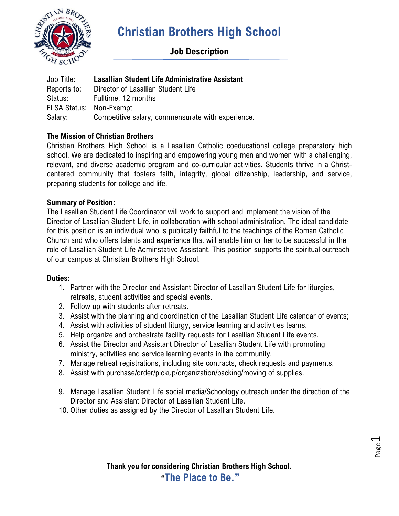

# **Christian Brothers High School**

## **Job Description**

Job Title: **Lasallian Student Life Administrative Assistant** Reports to: Director of Lasallian Student Life Status: Fulltime, 12 months FLSA Status: Non-Exempt Salary: Competitive salary, commensurate with experience.

### **The Mission of Christian Brothers**

Christian Brothers High School is a Lasallian Catholic coeducational college preparatory high school. We are dedicated to inspiring and empowering young men and women with a challenging, relevant, and diverse academic program and co-curricular activities. Students thrive in a Christcentered community that fosters faith, integrity, global citizenship, leadership, and service, preparing students for college and life.

#### **Summary of Position:**

The Lasallian Student Life Coordinator will work to support and implement the vision of the Director of Lasallian Student Life, in collaboration with school administration. The ideal candidate for this position is an individual who is publically faithful to the teachings of the Roman Catholic Church and who offers talents and experience that will enable him or her to be successful in the role of Lasallian Student Life Adminstative Assistant. This position supports the spiritual outreach of our campus at Christian Brothers High School.

#### **Duties:**

- 1. Partner with the Director and Assistant Director of Lasallian Student Life for liturgies, retreats, student activities and special events.
- 2. Follow up with students after retreats.
- 3. Assist with the planning and coordination of the Lasallian Student Life calendar of events;
- 4. Assist with activities of student liturgy, service learning and activities teams.
- 5. Help organize and orchestrate facility requests for Lasallian Student Life events.
- 6. Assist the Director and Assistant Director of Lasallian Student Life with promoting ministry, activities and service learning events in the community.
- 7. Manage retreat registrations, including site contracts, check requests and payments.
- 8. Assist with purchase/order/pickup/organization/packing/moving of supplies.
- 9. Manage Lasallian Student Life social media/Schoology outreach under the direction of the Director and Assistant Director of Lasallian Student Life.
- 10. Other duties as assigned by the Director of Lasallian Student Life.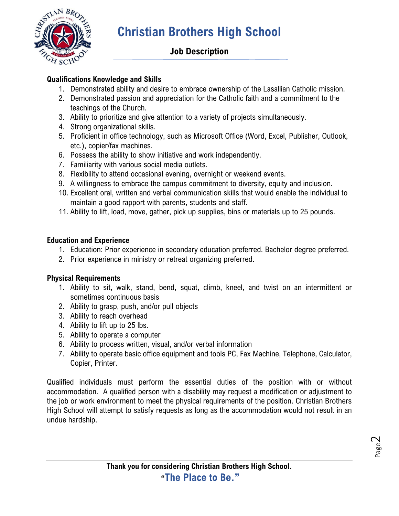

# **Christian Brothers High School**

## **Job Description**

### **Qualifications Knowledge and Skills**

- 1. Demonstrated ability and desire to embrace ownership of the Lasallian Catholic mission.
- 2. Demonstrated passion and appreciation for the Catholic faith and a commitment to the teachings of the Church.
- 3. Ability to prioritize and give attention to a variety of projects simultaneously.
- 4. Strong organizational skills.
- 5. Proficient in office technology, such as Microsoft Office (Word, Excel, Publisher, Outlook, etc.), copier/fax machines.
- 6. Possess the ability to show initiative and work independently.
- 7. Familiarity with various social media outlets.
- 8. Flexibility to attend occasional evening, overnight or weekend events.
- 9. A willingness to embrace the campus commitment to diversity, equity and inclusion.
- 10. Excellent oral, written and verbal communication skills that would enable the individual to maintain a good rapport with parents, students and staff.
- 11. Ability to lift, load, move, gather, pick up supplies, bins or materials up to 25 pounds.

### **Education and Experience**

- 1. Education: Prior experience in secondary education preferred. Bachelor degree preferred.
- 2. Prior experience in ministry or retreat organizing preferred.

### **Physical Requirements**

- 1. Ability to sit, walk, stand, bend, squat, climb, kneel, and twist on an intermittent or sometimes continuous basis
- 2. Ability to grasp, push, and/or pull objects
- 3. Ability to reach overhead
- 4. Ability to lift up to 25 lbs.
- 5. Ability to operate a computer
- 6. Ability to process written, visual, and/or verbal information
- 7. Ability to operate basic office equipment and tools PC, Fax Machine, Telephone, Calculator, Copier, Printer.

Qualified individuals must perform the essential duties of the position with or without accommodation. A qualified person with a disability may request a modification or adjustment to the job or work environment to meet the physical requirements of the position. Christian Brothers High School will attempt to satisfy requests as long as the accommodation would not result in an undue hardship.